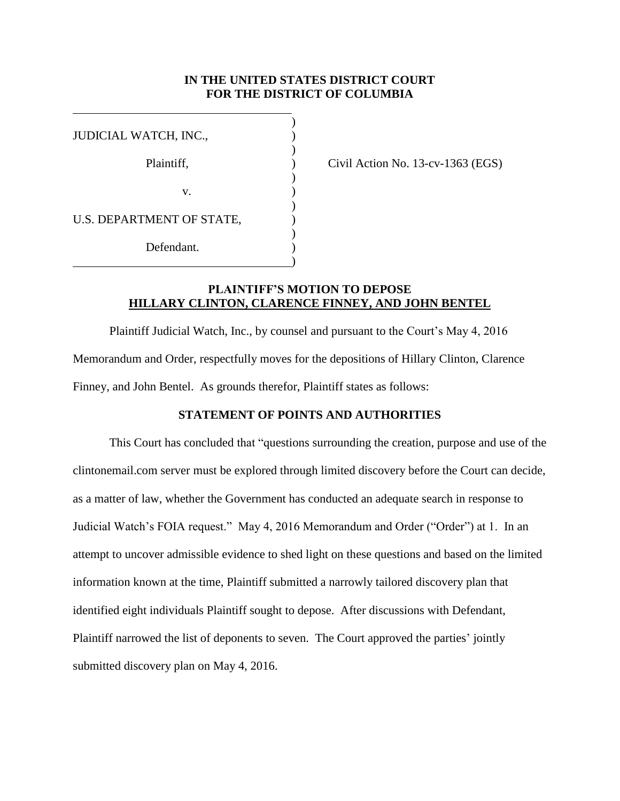## **IN THE UNITED STATES DISTRICT COURT FOR THE DISTRICT OF COLUMBIA**

| JUDICIAL WATCH, INC.,     |  |
|---------------------------|--|
| Plaintiff,                |  |
|                           |  |
| v.                        |  |
|                           |  |
| U.S. DEPARTMENT OF STATE, |  |
| Defendant.                |  |
|                           |  |

Civil Action No.  $13$ -cv-1363 (EGS)

# **PLAINTIFF'S MOTION TO DEPOSE HILLARY CLINTON, CLARENCE FINNEY, AND JOHN BENTEL**

Plaintiff Judicial Watch, Inc., by counsel and pursuant to the Court's May 4, 2016 Memorandum and Order, respectfully moves for the depositions of Hillary Clinton, Clarence Finney, and John Bentel. As grounds therefor, Plaintiff states as follows:

## **STATEMENT OF POINTS AND AUTHORITIES**

This Court has concluded that "questions surrounding the creation, purpose and use of the clintonemail.com server must be explored through limited discovery before the Court can decide, as a matter of law, whether the Government has conducted an adequate search in response to Judicial Watch's FOIA request." May 4, 2016 Memorandum and Order ("Order") at 1. In an attempt to uncover admissible evidence to shed light on these questions and based on the limited information known at the time, Plaintiff submitted a narrowly tailored discovery plan that identified eight individuals Plaintiff sought to depose. After discussions with Defendant, Plaintiff narrowed the list of deponents to seven. The Court approved the parties' jointly submitted discovery plan on May 4, 2016.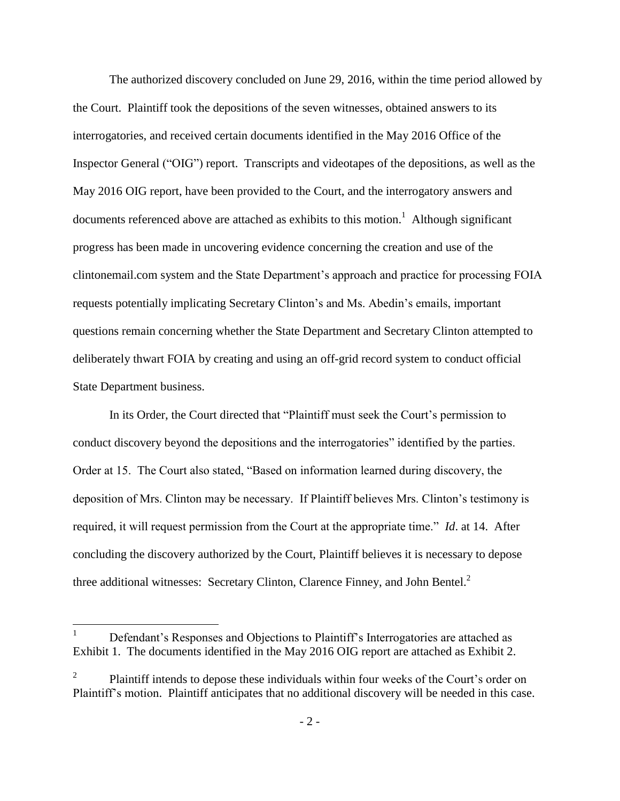The authorized discovery concluded on June 29, 2016, within the time period allowed by the Court. Plaintiff took the depositions of the seven witnesses, obtained answers to its interrogatories, and received certain documents identified in the May 2016 Office of the Inspector General ("OIG") report. Transcripts and videotapes of the depositions, as well as the May 2016 OIG report, have been provided to the Court, and the interrogatory answers and documents referenced above are attached as exhibits to this motion.<sup>1</sup> Although significant progress has been made in uncovering evidence concerning the creation and use of the clintonemail.com system and the State Department's approach and practice for processing FOIA requests potentially implicating Secretary Clinton's and Ms. Abedin's emails, important questions remain concerning whether the State Department and Secretary Clinton attempted to deliberately thwart FOIA by creating and using an off-grid record system to conduct official State Department business.

In its Order, the Court directed that "Plaintiff must seek the Court's permission to conduct discovery beyond the depositions and the interrogatories" identified by the parties. Order at 15. The Court also stated, "Based on information learned during discovery, the deposition of Mrs. Clinton may be necessary. If Plaintiff believes Mrs. Clinton's testimony is required, it will request permission from the Court at the appropriate time." *Id*. at 14. After concluding the discovery authorized by the Court, Plaintiff believes it is necessary to depose three additional witnesses: Secretary Clinton, Clarence Finney, and John Bentel.<sup>2</sup>

 $\overline{a}$ 

Defendant's Responses and Objections to Plaintiff's Interrogatories are attached as Exhibit 1. The documents identified in the May 2016 OIG report are attached as Exhibit 2.

<sup>2</sup> Plaintiff intends to depose these individuals within four weeks of the Court's order on Plaintiff's motion. Plaintiff anticipates that no additional discovery will be needed in this case.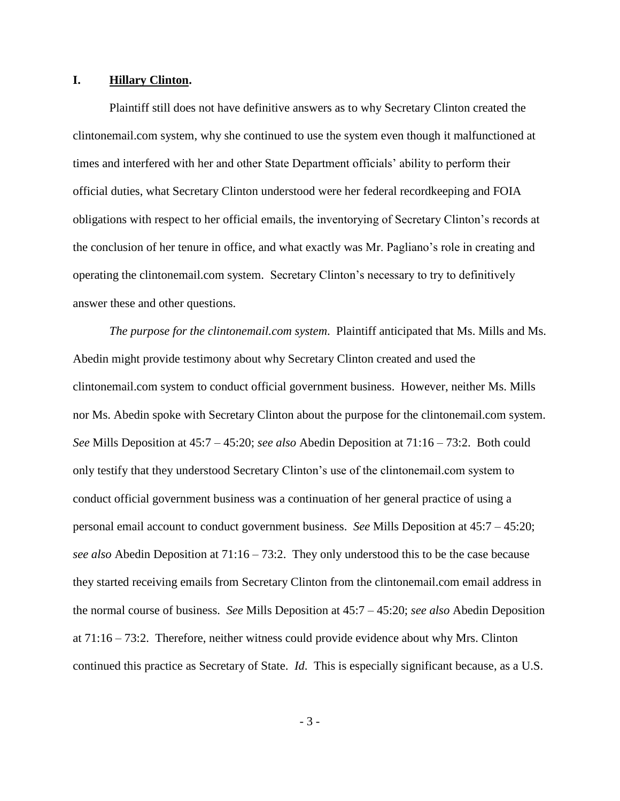#### **I. Hillary Clinton.**

Plaintiff still does not have definitive answers as to why Secretary Clinton created the clintonemail.com system, why she continued to use the system even though it malfunctioned at times and interfered with her and other State Department officials' ability to perform their official duties, what Secretary Clinton understood were her federal recordkeeping and FOIA obligations with respect to her official emails, the inventorying of Secretary Clinton's records at the conclusion of her tenure in office, and what exactly was Mr. Pagliano's role in creating and operating the clintonemail.com system. Secretary Clinton's necessary to try to definitively answer these and other questions.

*The purpose for the clintonemail.com system*. Plaintiff anticipated that Ms. Mills and Ms. Abedin might provide testimony about why Secretary Clinton created and used the clintonemail.com system to conduct official government business. However, neither Ms. Mills nor Ms. Abedin spoke with Secretary Clinton about the purpose for the clintonemail.com system. *See* Mills Deposition at 45:7 – 45:20; *see also* Abedin Deposition at 71:16 – 73:2. Both could only testify that they understood Secretary Clinton's use of the clintonemail.com system to conduct official government business was a continuation of her general practice of using a personal email account to conduct government business. *See* Mills Deposition at 45:7 – 45:20; *see also* Abedin Deposition at 71:16 – 73:2. They only understood this to be the case because they started receiving emails from Secretary Clinton from the clintonemail.com email address in the normal course of business. *See* Mills Deposition at 45:7 – 45:20; *see also* Abedin Deposition at 71:16 – 73:2. Therefore, neither witness could provide evidence about why Mrs. Clinton continued this practice as Secretary of State. *Id*. This is especially significant because, as a U.S.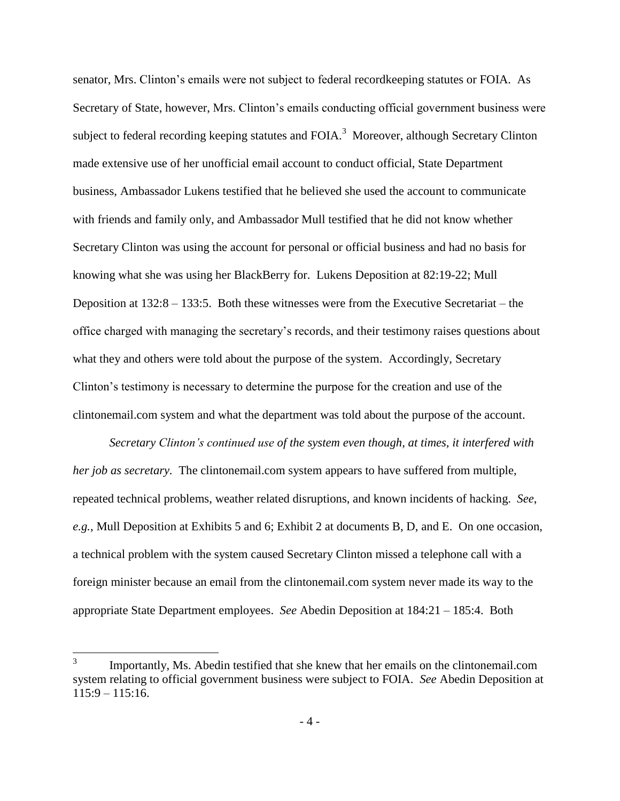senator, Mrs. Clinton's emails were not subject to federal recordkeeping statutes or FOIA. As Secretary of State, however, Mrs. Clinton's emails conducting official government business were subject to federal recording keeping statutes and FOIA.<sup>3</sup> Moreover, although Secretary Clinton made extensive use of her unofficial email account to conduct official, State Department business, Ambassador Lukens testified that he believed she used the account to communicate with friends and family only, and Ambassador Mull testified that he did not know whether Secretary Clinton was using the account for personal or official business and had no basis for knowing what she was using her BlackBerry for. Lukens Deposition at 82:19-22; Mull Deposition at 132:8 – 133:5. Both these witnesses were from the Executive Secretariat – the office charged with managing the secretary's records, and their testimony raises questions about what they and others were told about the purpose of the system. Accordingly, Secretary Clinton's testimony is necessary to determine the purpose for the creation and use of the clintonemail.com system and what the department was told about the purpose of the account.

*Secretary Clinton's continued use of the system even though, at times, it interfered with her job as secretary.* The clintonemail.com system appears to have suffered from multiple, repeated technical problems, weather related disruptions, and known incidents of hacking. *See*, *e.g.*, Mull Deposition at Exhibits 5 and 6; Exhibit 2 at documents B, D, and E. On one occasion, a technical problem with the system caused Secretary Clinton missed a telephone call with a foreign minister because an email from the clintonemail.com system never made its way to the appropriate State Department employees. *See* Abedin Deposition at 184:21 – 185:4. Both

 $\overline{a}$ 

<sup>3</sup> Importantly, Ms. Abedin testified that she knew that her emails on the clintonemail.com system relating to official government business were subject to FOIA. *See* Abedin Deposition at  $115:9 - 115:16.$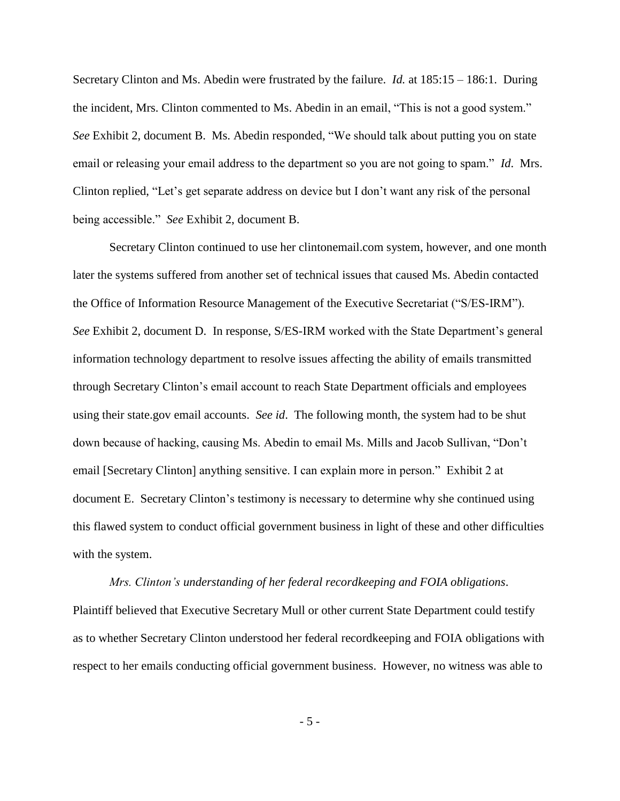Secretary Clinton and Ms. Abedin were frustrated by the failure. *Id.* at 185:15 – 186:1. During the incident, Mrs. Clinton commented to Ms. Abedin in an email, "This is not a good system." *See* Exhibit 2, document B. Ms. Abedin responded, "We should talk about putting you on state email or releasing your email address to the department so you are not going to spam." *Id*. Mrs. Clinton replied, "Let's get separate address on device but I don't want any risk of the personal being accessible." *See* Exhibit 2, document B.

Secretary Clinton continued to use her clintonemail.com system, however, and one month later the systems suffered from another set of technical issues that caused Ms. Abedin contacted the Office of Information Resource Management of the Executive Secretariat ("S/ES-IRM"). *See* Exhibit 2, document D. In response, S/ES-IRM worked with the State Department's general information technology department to resolve issues affecting the ability of emails transmitted through Secretary Clinton's email account to reach State Department officials and employees using their state.gov email accounts. *See id*. The following month, the system had to be shut down because of hacking, causing Ms. Abedin to email Ms. Mills and Jacob Sullivan, "Don't email [Secretary Clinton] anything sensitive. I can explain more in person." Exhibit 2 at document E. Secretary Clinton's testimony is necessary to determine why she continued using this flawed system to conduct official government business in light of these and other difficulties with the system.

*Mrs. Clinton's understanding of her federal recordkeeping and FOIA obligations*. Plaintiff believed that Executive Secretary Mull or other current State Department could testify as to whether Secretary Clinton understood her federal recordkeeping and FOIA obligations with respect to her emails conducting official government business. However, no witness was able to

- 5 -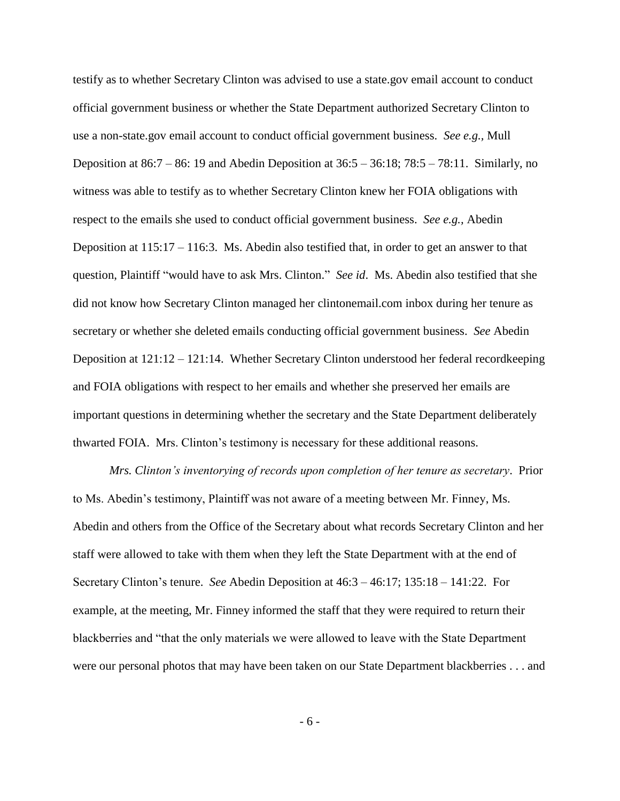testify as to whether Secretary Clinton was advised to use a state.gov email account to conduct official government business or whether the State Department authorized Secretary Clinton to use a non-state.gov email account to conduct official government business. *See e.g.,* Mull Deposition at  $86:7 - 86:19$  and Abedin Deposition at  $36:5 - 36:18$ ;  $78:5 - 78:11$ . Similarly, no witness was able to testify as to whether Secretary Clinton knew her FOIA obligations with respect to the emails she used to conduct official government business. *See e.g.,* Abedin Deposition at 115:17 – 116:3. Ms. Abedin also testified that, in order to get an answer to that question, Plaintiff "would have to ask Mrs. Clinton." *See id*. Ms. Abedin also testified that she did not know how Secretary Clinton managed her clintonemail.com inbox during her tenure as secretary or whether she deleted emails conducting official government business. *See* Abedin Deposition at 121:12 – 121:14. Whether Secretary Clinton understood her federal recordkeeping and FOIA obligations with respect to her emails and whether she preserved her emails are important questions in determining whether the secretary and the State Department deliberately thwarted FOIA. Mrs. Clinton's testimony is necessary for these additional reasons.

*Mrs. Clinton's inventorying of records upon completion of her tenure as secretary*. Prior to Ms. Abedin's testimony, Plaintiff was not aware of a meeting between Mr. Finney, Ms. Abedin and others from the Office of the Secretary about what records Secretary Clinton and her staff were allowed to take with them when they left the State Department with at the end of Secretary Clinton's tenure. *See* Abedin Deposition at 46:3 – 46:17; 135:18 – 141:22. For example, at the meeting, Mr. Finney informed the staff that they were required to return their blackberries and "that the only materials we were allowed to leave with the State Department were our personal photos that may have been taken on our State Department blackberries . . . and

- 6 -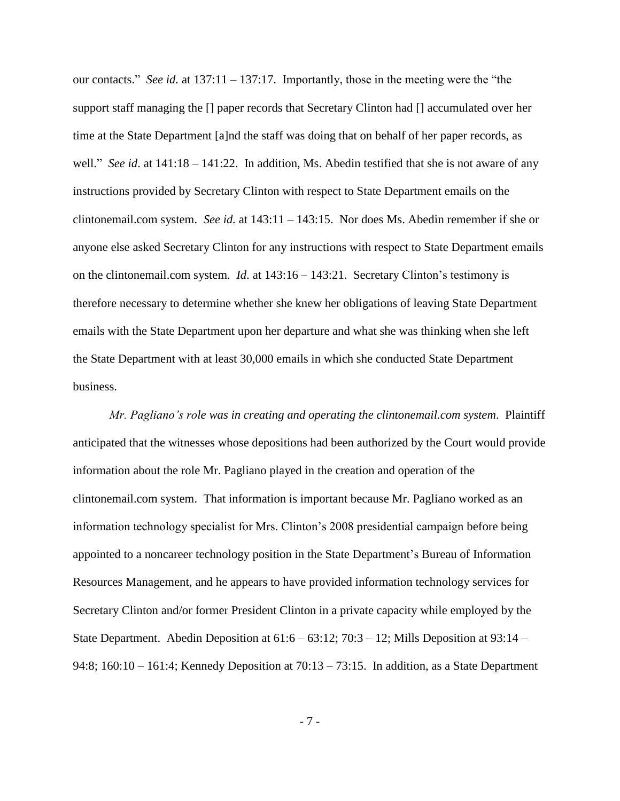our contacts." *See id.* at 137:11 – 137:17. Importantly, those in the meeting were the "the support staff managing the [] paper records that Secretary Clinton had [] accumulated over her time at the State Department [a]nd the staff was doing that on behalf of her paper records, as well." *See id.* at  $141:18 - 141:22$ . In addition, Ms. Abedin testified that she is not aware of any instructions provided by Secretary Clinton with respect to State Department emails on the clintonemail.com system. *See id.* at 143:11 – 143:15. Nor does Ms. Abedin remember if she or anyone else asked Secretary Clinton for any instructions with respect to State Department emails on the clintonemail.com system. *Id*. at 143:16 – 143:21. Secretary Clinton's testimony is therefore necessary to determine whether she knew her obligations of leaving State Department emails with the State Department upon her departure and what she was thinking when she left the State Department with at least 30,000 emails in which she conducted State Department business.

*Mr. Pagliano's role was in creating and operating the clintonemail.com system*. Plaintiff anticipated that the witnesses whose depositions had been authorized by the Court would provide information about the role Mr. Pagliano played in the creation and operation of the clintonemail.com system. That information is important because Mr. Pagliano worked as an information technology specialist for Mrs. Clinton's 2008 presidential campaign before being appointed to a noncareer technology position in the State Department's Bureau of Information Resources Management, and he appears to have provided information technology services for Secretary Clinton and/or former President Clinton in a private capacity while employed by the State Department. Abedin Deposition at 61:6 – 63:12; 70:3 – 12; Mills Deposition at 93:14 – 94:8; 160:10 – 161:4; Kennedy Deposition at 70:13 – 73:15. In addition, as a State Department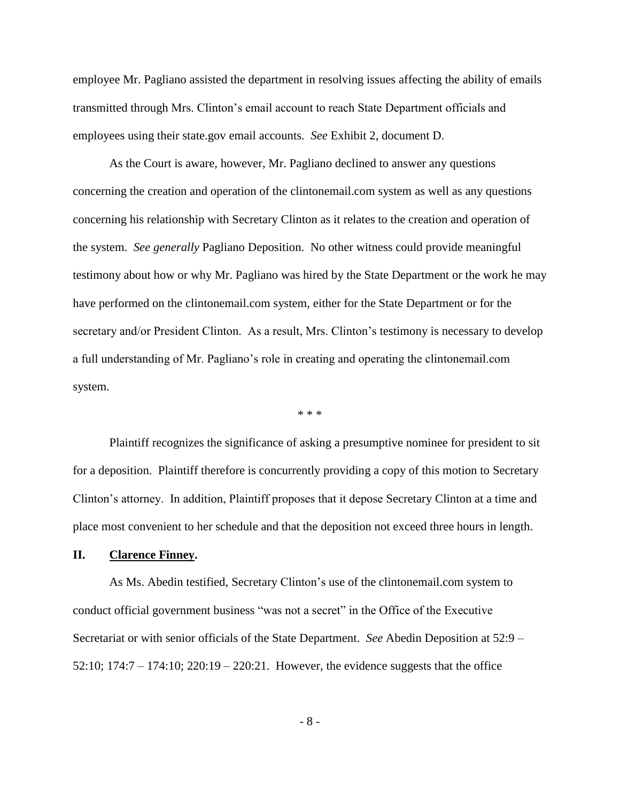employee Mr. Pagliano assisted the department in resolving issues affecting the ability of emails transmitted through Mrs. Clinton's email account to reach State Department officials and employees using their state.gov email accounts. *See* Exhibit 2, document D.

As the Court is aware, however, Mr. Pagliano declined to answer any questions concerning the creation and operation of the clintonemail.com system as well as any questions concerning his relationship with Secretary Clinton as it relates to the creation and operation of the system. *See generally* Pagliano Deposition. No other witness could provide meaningful testimony about how or why Mr. Pagliano was hired by the State Department or the work he may have performed on the clintonemail.com system, either for the State Department or for the secretary and/or President Clinton. As a result, Mrs. Clinton's testimony is necessary to develop a full understanding of Mr. Pagliano's role in creating and operating the clintonemail.com system.

\* \* \*

Plaintiff recognizes the significance of asking a presumptive nominee for president to sit for a deposition. Plaintiff therefore is concurrently providing a copy of this motion to Secretary Clinton's attorney. In addition, Plaintiff proposes that it depose Secretary Clinton at a time and place most convenient to her schedule and that the deposition not exceed three hours in length.

### **II. Clarence Finney.**

As Ms. Abedin testified, Secretary Clinton's use of the clintonemail.com system to conduct official government business "was not a secret" in the Office of the Executive Secretariat or with senior officials of the State Department. *See* Abedin Deposition at 52:9 – 52:10; 174:7 – 174:10; 220:19 – 220:21. However, the evidence suggests that the office

- 8 -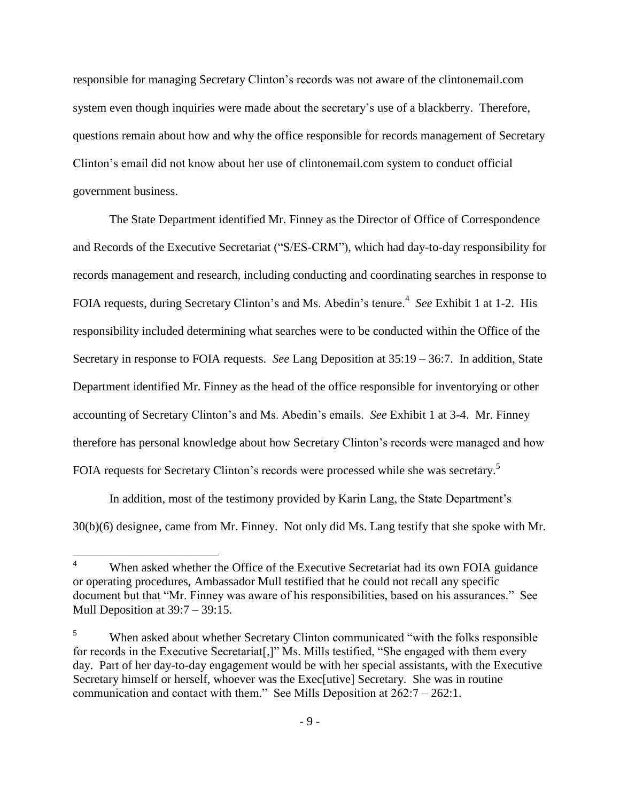responsible for managing Secretary Clinton's records was not aware of the clintonemail.com system even though inquiries were made about the secretary's use of a blackberry. Therefore, questions remain about how and why the office responsible for records management of Secretary Clinton's email did not know about her use of clintonemail.com system to conduct official government business.

The State Department identified Mr. Finney as the Director of Office of Correspondence and Records of the Executive Secretariat ("S/ES-CRM"), which had day-to-day responsibility for records management and research, including conducting and coordinating searches in response to FOIA requests, during Secretary Clinton's and Ms. Abedin's tenure.<sup>4</sup> See Exhibit 1 at 1-2. His responsibility included determining what searches were to be conducted within the Office of the Secretary in response to FOIA requests. *See* Lang Deposition at 35:19 – 36:7. In addition, State Department identified Mr. Finney as the head of the office responsible for inventorying or other accounting of Secretary Clinton's and Ms. Abedin's emails. *See* Exhibit 1 at 3-4. Mr. Finney therefore has personal knowledge about how Secretary Clinton's records were managed and how FOIA requests for Secretary Clinton's records were processed while she was secretary.<sup>5</sup>

In addition, most of the testimony provided by Karin Lang, the State Department's 30(b)(6) designee, came from Mr. Finney. Not only did Ms. Lang testify that she spoke with Mr.

 $\overline{4}$ When asked whether the Office of the Executive Secretariat had its own FOIA guidance or operating procedures, Ambassador Mull testified that he could not recall any specific document but that "Mr. Finney was aware of his responsibilities, based on his assurances." See Mull Deposition at 39:7 – 39:15.

<sup>5</sup> When asked about whether Secretary Clinton communicated "with the folks responsible for records in the Executive Secretariat[,]" Ms. Mills testified, "She engaged with them every day. Part of her day-to-day engagement would be with her special assistants, with the Executive Secretary himself or herself, whoever was the Exec[utive] Secretary. She was in routine communication and contact with them." See Mills Deposition at 262:7 – 262:1.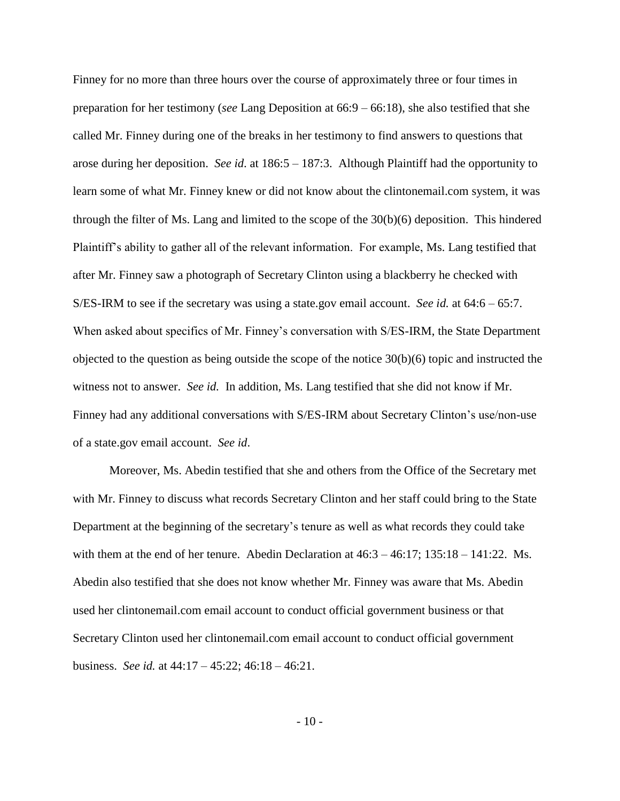Finney for no more than three hours over the course of approximately three or four times in preparation for her testimony (*see* Lang Deposition at 66:9 – 66:18), she also testified that she called Mr. Finney during one of the breaks in her testimony to find answers to questions that arose during her deposition. *See id*. at 186:5 – 187:3. Although Plaintiff had the opportunity to learn some of what Mr. Finney knew or did not know about the clintonemail.com system, it was through the filter of Ms. Lang and limited to the scope of the  $30(b)(6)$  deposition. This hindered Plaintiff's ability to gather all of the relevant information. For example, Ms. Lang testified that after Mr. Finney saw a photograph of Secretary Clinton using a blackberry he checked with S/ES-IRM to see if the secretary was using a state.gov email account. *See id.* at 64:6 – 65:7. When asked about specifics of Mr. Finney's conversation with S/ES-IRM, the State Department objected to the question as being outside the scope of the notice  $30(b)(6)$  topic and instructed the witness not to answer. *See id.* In addition, Ms. Lang testified that she did not know if Mr. Finney had any additional conversations with S/ES-IRM about Secretary Clinton's use/non-use of a state.gov email account. *See id*.

Moreover, Ms. Abedin testified that she and others from the Office of the Secretary met with Mr. Finney to discuss what records Secretary Clinton and her staff could bring to the State Department at the beginning of the secretary's tenure as well as what records they could take with them at the end of her tenure. Abedin Declaration at  $46:3 - 46:17$ ;  $135:18 - 141:22$ . Ms. Abedin also testified that she does not know whether Mr. Finney was aware that Ms. Abedin used her clintonemail.com email account to conduct official government business or that Secretary Clinton used her clintonemail.com email account to conduct official government business. *See id.* at 44:17 – 45:22; 46:18 – 46:21.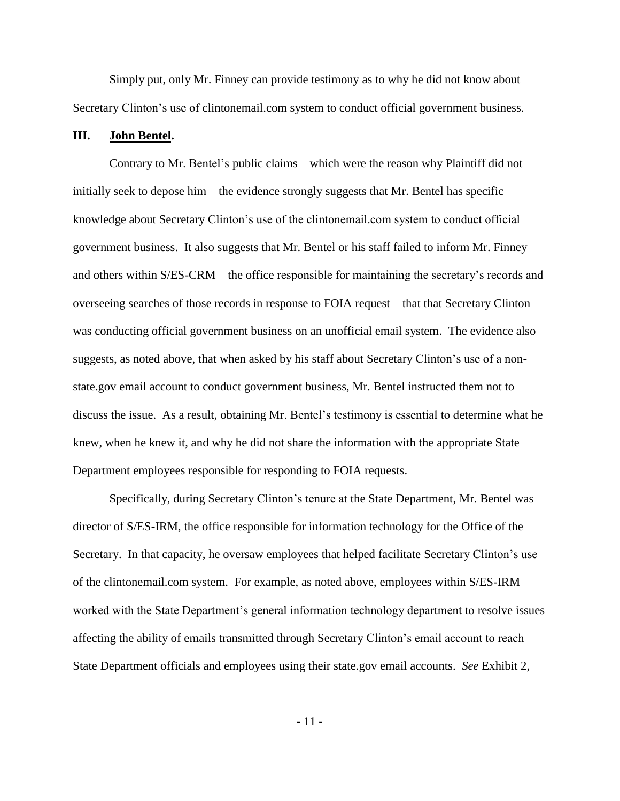Simply put, only Mr. Finney can provide testimony as to why he did not know about Secretary Clinton's use of clintonemail.com system to conduct official government business.

### **III. John Bentel.**

Contrary to Mr. Bentel's public claims – which were the reason why Plaintiff did not initially seek to depose him – the evidence strongly suggests that Mr. Bentel has specific knowledge about Secretary Clinton's use of the clintonemail.com system to conduct official government business. It also suggests that Mr. Bentel or his staff failed to inform Mr. Finney and others within S/ES-CRM – the office responsible for maintaining the secretary's records and overseeing searches of those records in response to FOIA request – that that Secretary Clinton was conducting official government business on an unofficial email system. The evidence also suggests, as noted above, that when asked by his staff about Secretary Clinton's use of a nonstate.gov email account to conduct government business, Mr. Bentel instructed them not to discuss the issue. As a result, obtaining Mr. Bentel's testimony is essential to determine what he knew, when he knew it, and why he did not share the information with the appropriate State Department employees responsible for responding to FOIA requests.

Specifically, during Secretary Clinton's tenure at the State Department, Mr. Bentel was director of S/ES-IRM, the office responsible for information technology for the Office of the Secretary. In that capacity, he oversaw employees that helped facilitate Secretary Clinton's use of the clintonemail.com system. For example, as noted above, employees within S/ES-IRM worked with the State Department's general information technology department to resolve issues affecting the ability of emails transmitted through Secretary Clinton's email account to reach State Department officials and employees using their state.gov email accounts. *See* Exhibit 2,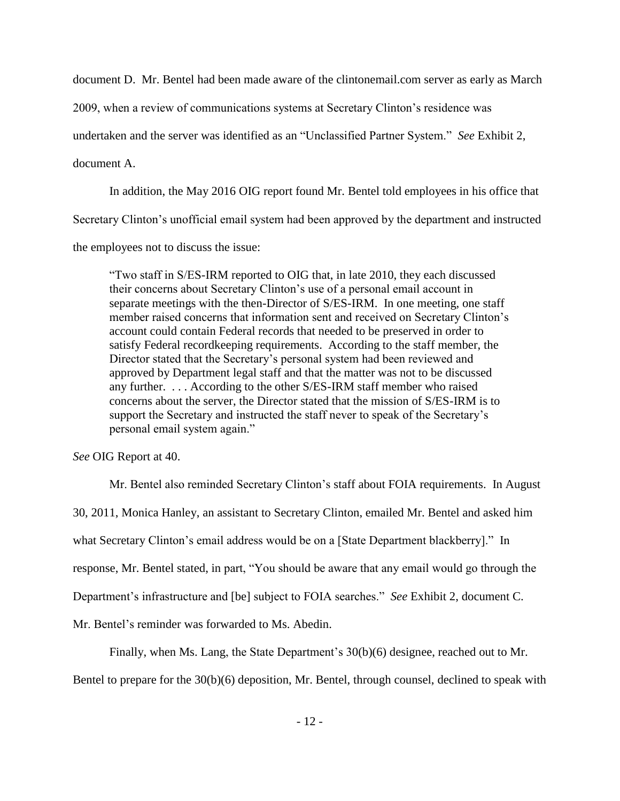document D. Mr. Bentel had been made aware of the clintonemail.com server as early as March

2009, when a review of communications systems at Secretary Clinton's residence was

undertaken and the server was identified as an "Unclassified Partner System." *See* Exhibit 2,

document A.

In addition, the May 2016 OIG report found Mr. Bentel told employees in his office that

Secretary Clinton's unofficial email system had been approved by the department and instructed

the employees not to discuss the issue:

"Two staff in S/ES-IRM reported to OIG that, in late 2010, they each discussed their concerns about Secretary Clinton's use of a personal email account in separate meetings with the then-Director of S/ES-IRM. In one meeting, one staff member raised concerns that information sent and received on Secretary Clinton's account could contain Federal records that needed to be preserved in order to satisfy Federal recordkeeping requirements. According to the staff member, the Director stated that the Secretary's personal system had been reviewed and approved by Department legal staff and that the matter was not to be discussed any further. . . . According to the other S/ES-IRM staff member who raised concerns about the server, the Director stated that the mission of S/ES-IRM is to support the Secretary and instructed the staff never to speak of the Secretary's personal email system again."

*See* OIG Report at 40.

Mr. Bentel also reminded Secretary Clinton's staff about FOIA requirements. In August 30, 2011, Monica Hanley, an assistant to Secretary Clinton, emailed Mr. Bentel and asked him what Secretary Clinton's email address would be on a [State Department blackberry]." In response, Mr. Bentel stated, in part, "You should be aware that any email would go through the Department's infrastructure and [be] subject to FOIA searches." *See* Exhibit 2, document C. Mr. Bentel's reminder was forwarded to Ms. Abedin.

Finally, when Ms. Lang, the State Department's 30(b)(6) designee, reached out to Mr.

Bentel to prepare for the 30(b)(6) deposition, Mr. Bentel, through counsel, declined to speak with